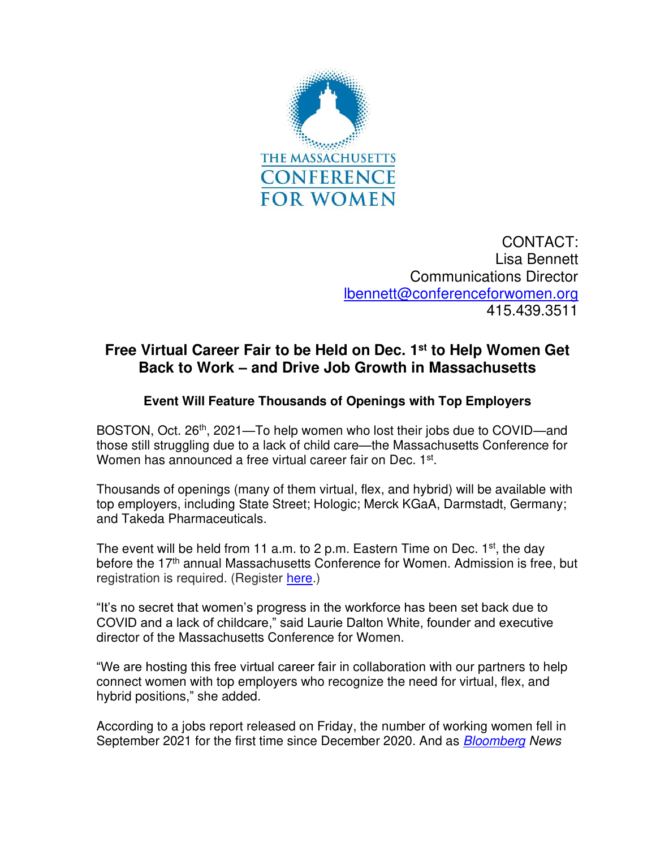

CONTACT: Lisa Bennett Communications Director [lbennett@conferenceforwomen.org](mailto:lbennett@conferenceforwomen.org) 415.439.3511

## **Free Virtual Career Fair to be Held on Dec. 1st to Help Women Get Back to Work – and Drive Job Growth in Massachusetts**

## **Event Will Feature Thousands of Openings with Top Employers**

BOSTON, Oct. 26<sup>th</sup>, 2021—To help women who lost their jobs due to COVID—and those still struggling due to a lack of child care—the Massachusetts Conference for Women has announced a free virtual career fair on Dec. 1st.

Thousands of openings (many of them virtual, flex, and hybrid) will be available with top employers, including State Street; Hologic; Merck KGaA, Darmstadt, Germany; and Takeda Pharmaceuticals.

The event will be held from 11 a.m. to 2 p.m. Eastern Time on Dec.  $1<sup>st</sup>$ , the day before the 17<sup>th</sup> annual Massachusetts Conference for Women. Admission is free, but registration is required. (Register [here.](https://www.event-registration.biz/mawc/introduction.aspx?_ga=2.235247362.247221966.1635188753-1677343733.1633539466))

"It's no secret that women's progress in the workforce has been set back due to COVID and a lack of childcare," said Laurie Dalton White, founder and executive director of the Massachusetts Conference for Women.

"We are hosting this free virtual career fair in collaboration with our partners to help connect women with top employers who recognize the need for virtual, flex, and hybrid positions," she added.

According to a jobs report released on Friday, the number of working women fell in September 2021 for the first time since December 2020. And as **Bloomberg** News